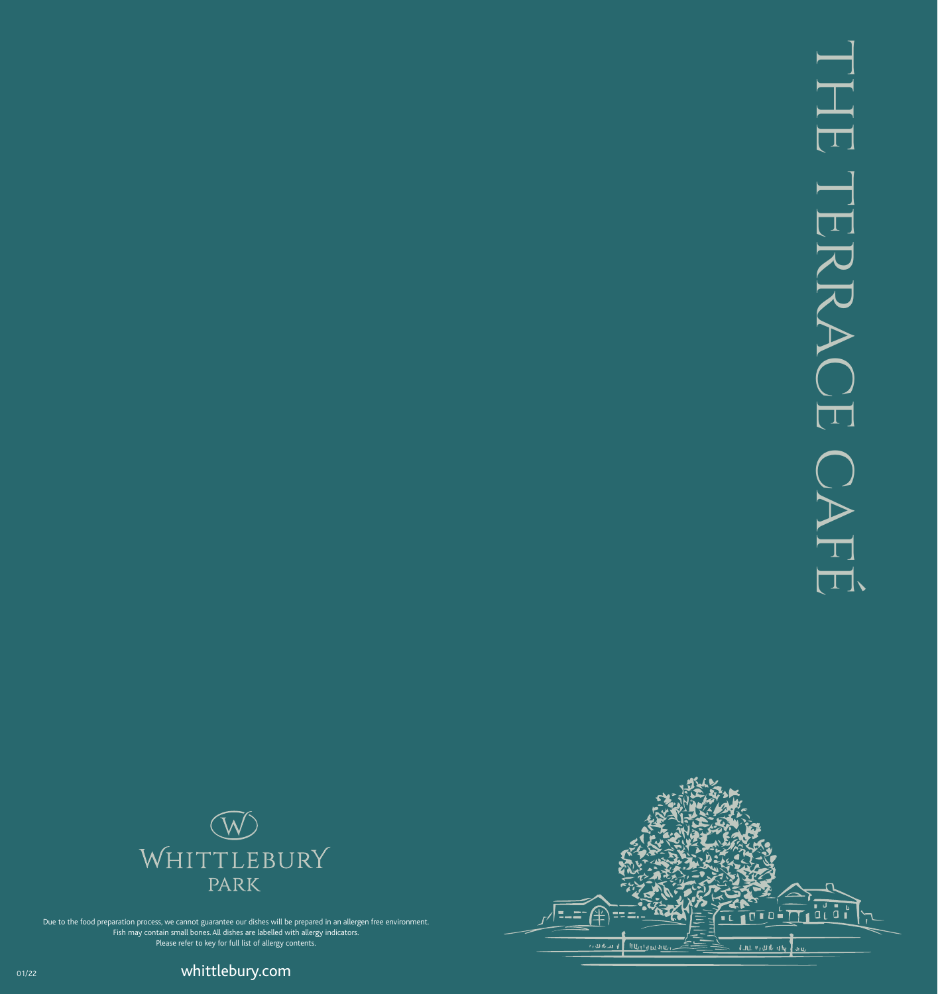



Due to the food preparation process, we cannot guarantee our dishes will be prepared in an allergen free environment. Fish may contain small bones. All dishes are labelled with allergy indicators. Please refer to key for full list of allergy contents.

ouzz **by the community of the community of the community of the community of the community of the community of the community of the community of the community of the community of the community of the community of the commu**